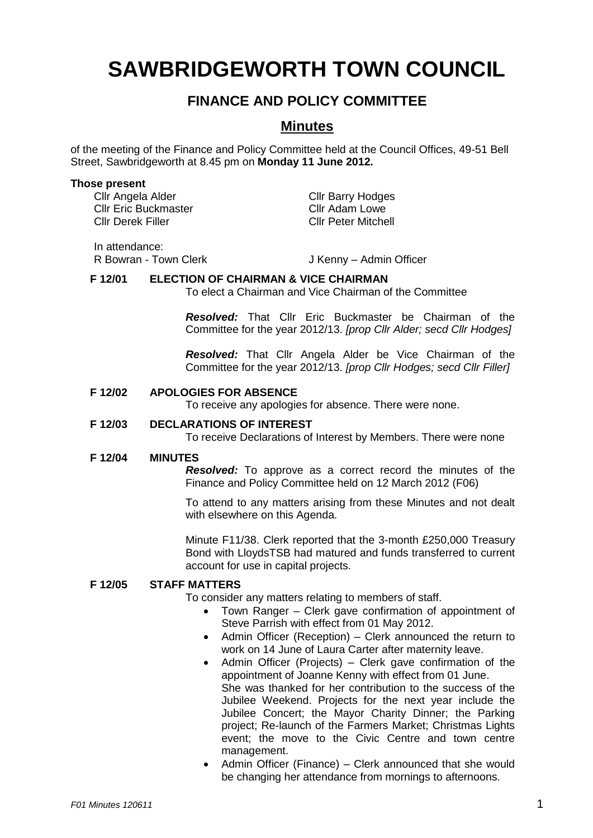# **SAWBRIDGEWORTH TOWN COUNCIL**

# **FINANCE AND POLICY COMMITTEE**

# **Minutes**

of the meeting of the Finance and Policy Committee held at the Council Offices, 49-51 Bell Street, Sawbridgeworth at 8.45 pm on **Monday 11 June 2012.**

#### **Those present**

Cllr Angela Alder Cllr Barry Hodges<br>
Cllr Eric Buckmaster Cllr Adam Lowe Cllr Eric Buckmaster Cllr Derek Filler Cllr Peter Mitchell

In attendance:

R Bowran - Town Clerk J Kenny – Admin Officer

# **F 12/01 ELECTION OF CHAIRMAN & VICE CHAIRMAN**

To elect a Chairman and Vice Chairman of the Committee

*Resolved:* That Cllr Eric Buckmaster be Chairman of the Committee for the year 2012/13. *[prop Cllr Alder; secd Cllr Hodges]*

*Resolved:* That Cllr Angela Alder be Vice Chairman of the Committee for the year 2012/13. *[prop Cllr Hodges; secd Cllr Filler]*

### **F 12/02 APOLOGIES FOR ABSENCE**

To receive any apologies for absence. There were none.

### **F 12/03 DECLARATIONS OF INTEREST**

To receive Declarations of Interest by Members. There were none

#### **F 12/04 MINUTES**

*Resolved:* To approve as a correct record the minutes of the Finance and Policy Committee held on 12 March 2012 (F06)

To attend to any matters arising from these Minutes and not dealt with elsewhere on this Agenda.

Minute F11/38. Clerk reported that the 3-month £250,000 Treasury Bond with LloydsTSB had matured and funds transferred to current account for use in capital projects.

# **F 12/05 STAFF MATTERS**

To consider any matters relating to members of staff.

- Town Ranger Clerk gave confirmation of appointment of Steve Parrish with effect from 01 May 2012.
- Admin Officer (Reception) Clerk announced the return to work on 14 June of Laura Carter after maternity leave.
- Admin Officer (Projects) Clerk gave confirmation of the appointment of Joanne Kenny with effect from 01 June. She was thanked for her contribution to the success of the Jubilee Weekend. Projects for the next year include the Jubilee Concert; the Mayor Charity Dinner; the Parking project; Re-launch of the Farmers Market; Christmas Lights event; the move to the Civic Centre and town centre management.
- Admin Officer (Finance) Clerk announced that she would be changing her attendance from mornings to afternoons.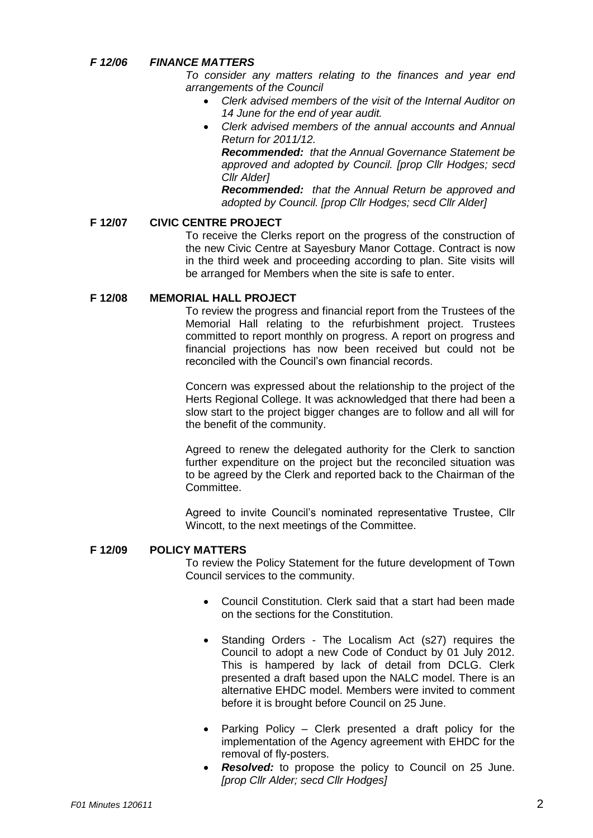# *F 12/06 FINANCE MATTERS*

*To consider any matters relating to the finances and year end arrangements of the Council*

- *Clerk advised members of the visit of the Internal Auditor on 14 June for the end of year audit.*
- *Clerk advised members of the annual accounts and Annual Return for 2011/12.*

*Recommended: that the Annual Governance Statement be approved and adopted by Council. [prop Cllr Hodges; secd Cllr Alder]*

*Recommended: that the Annual Return be approved and adopted by Council. [prop Cllr Hodges; secd Cllr Alder]*

# **F 12/07 CIVIC CENTRE PROJECT**

To receive the Clerks report on the progress of the construction of the new Civic Centre at Sayesbury Manor Cottage. Contract is now in the third week and proceeding according to plan. Site visits will be arranged for Members when the site is safe to enter.

# **F 12/08 MEMORIAL HALL PROJECT**

To review the progress and financial report from the Trustees of the Memorial Hall relating to the refurbishment project. Trustees committed to report monthly on progress. A report on progress and financial projections has now been received but could not be reconciled with the Council's own financial records.

Concern was expressed about the relationship to the project of the Herts Regional College. It was acknowledged that there had been a slow start to the project bigger changes are to follow and all will for the benefit of the community.

Agreed to renew the delegated authority for the Clerk to sanction further expenditure on the project but the reconciled situation was to be agreed by the Clerk and reported back to the Chairman of the Committee.

Agreed to invite Council's nominated representative Trustee, Cllr Wincott, to the next meetings of the Committee.

# **F 12/09 POLICY MATTERS**

To review the Policy Statement for the future development of Town Council services to the community.

- Council Constitution. Clerk said that a start had been made on the sections for the Constitution.
- Standing Orders The Localism Act (s27) requires the Council to adopt a new Code of Conduct by 01 July 2012. This is hampered by lack of detail from DCLG. Clerk presented a draft based upon the NALC model. There is an alternative EHDC model. Members were invited to comment before it is brought before Council on 25 June.
- Parking Policy Clerk presented a draft policy for the implementation of the Agency agreement with EHDC for the removal of fly-posters.
- *Resolved:* to propose the policy to Council on 25 June. *[prop Cllr Alder; secd Cllr Hodges]*